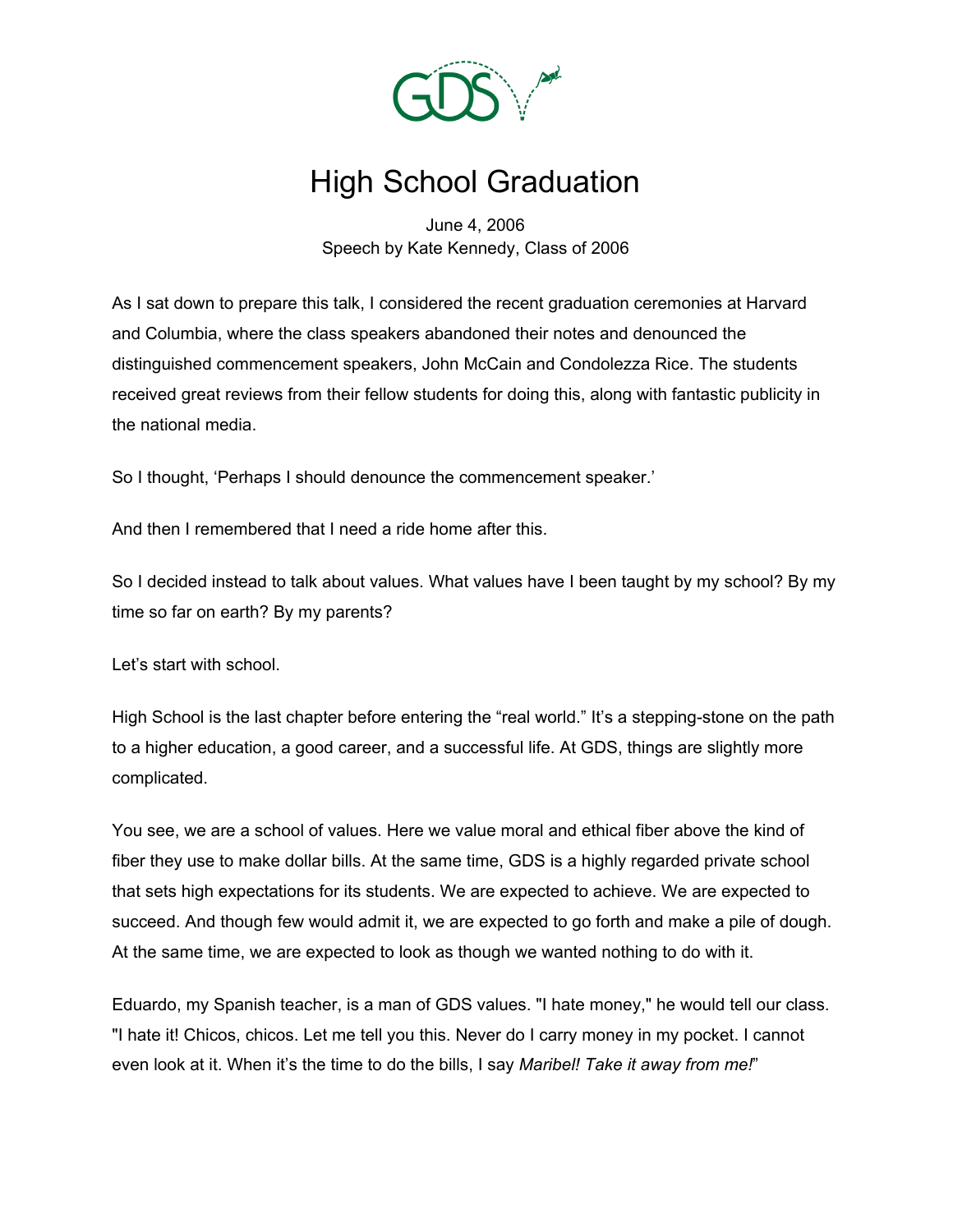

## High School Graduation

June 4, 2006 Speech by Kate Kennedy, Class of 2006

As I sat down to prepare this talk, I considered the recent graduation ceremonies at Harvard and Columbia, where the class speakers abandoned their notes and denounced the distinguished commencement speakers, John McCain and Condolezza Rice. The students received great reviews from their fellow students for doing this, along with fantastic publicity in the national media.

So I thought, 'Perhaps I should denounce the commencement speaker.'

And then I remembered that I need a ride home after this.

So I decided instead to talk about values. What values have I been taught by my school? By my time so far on earth? By my parents?

Let's start with school.

High School is the last chapter before entering the "real world." It's a stepping-stone on the path to a higher education, a good career, and a successful life. At GDS, things are slightly more complicated.

You see, we are a school of values. Here we value moral and ethical fiber above the kind of fiber they use to make dollar bills. At the same time, GDS is a highly regarded private school that sets high expectations for its students. We are expected to achieve. We are expected to succeed. And though few would admit it, we are expected to go forth and make a pile of dough. At the same time, we are expected to look as though we wanted nothing to do with it.

Eduardo, my Spanish teacher, is a man of GDS values. "I hate money," he would tell our class. "I hate it! Chicos, chicos. Let me tell you this. Never do I carry money in my pocket. I cannot even look at it. When it's the time to do the bills, I say *Maribel! Take it away from me!*"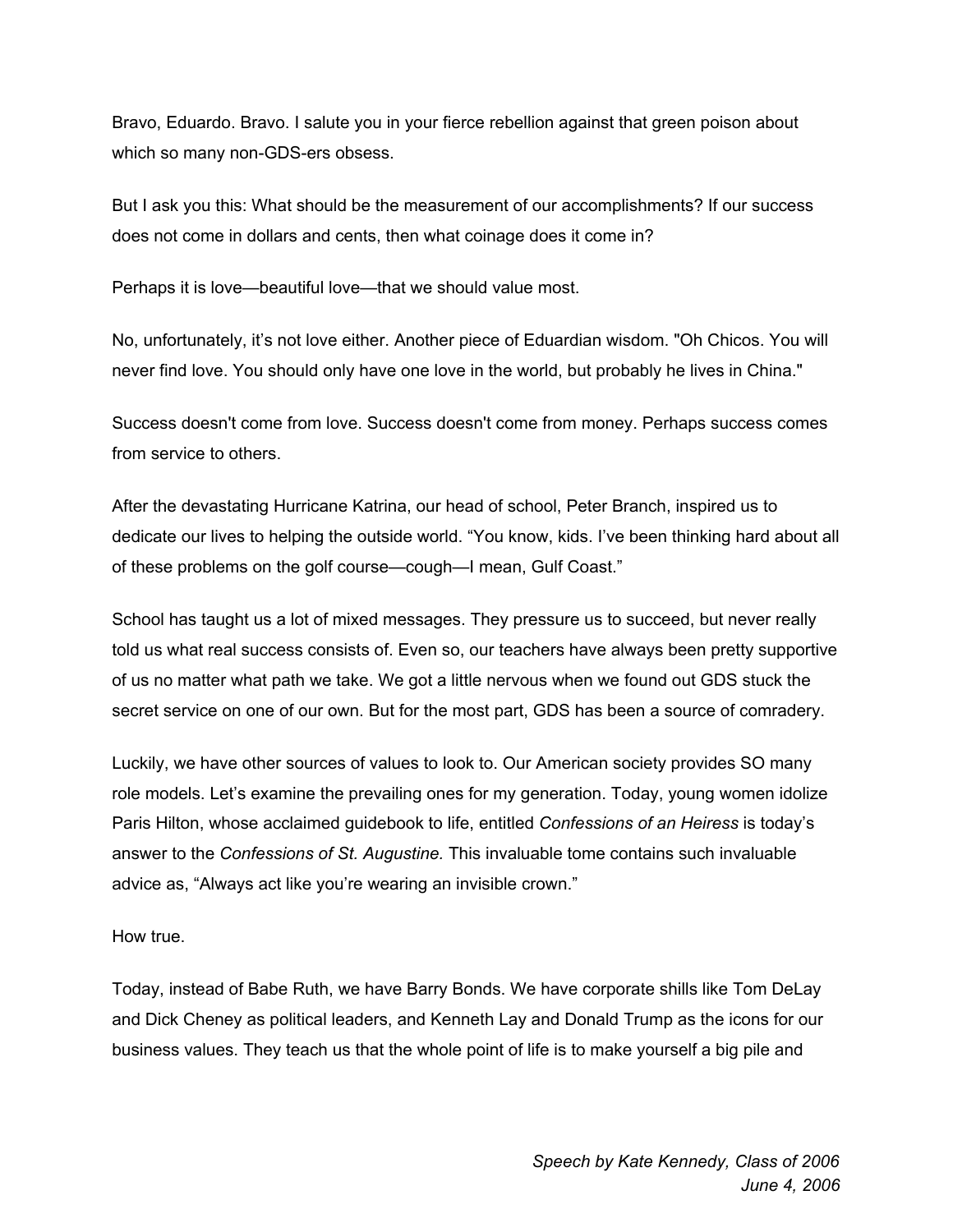Bravo, Eduardo. Bravo. I salute you in your fierce rebellion against that green poison about which so many non-GDS-ers obsess.

But I ask you this: What should be the measurement of our accomplishments? If our success does not come in dollars and cents, then what coinage does it come in?

Perhaps it is love—beautiful love—that we should value most.

No, unfortunately, it's not love either. Another piece of Eduardian wisdom. "Oh Chicos. You will never find love. You should only have one love in the world, but probably he lives in China."

Success doesn't come from love. Success doesn't come from money. Perhaps success comes from service to others.

After the devastating Hurricane Katrina, our head of school, Peter Branch, inspired us to dedicate our lives to helping the outside world. "You know, kids. I've been thinking hard about all of these problems on the golf course—cough—I mean, Gulf Coast."

School has taught us a lot of mixed messages. They pressure us to succeed, but never really told us what real success consists of. Even so, our teachers have always been pretty supportive of us no matter what path we take. We got a little nervous when we found out GDS stuck the secret service on one of our own. But for the most part, GDS has been a source of comradery.

Luckily, we have other sources of values to look to. Our American society provides SO many role models. Let's examine the prevailing ones for my generation. Today, young women idolize Paris Hilton, whose acclaimed guidebook to life, entitled *Confessions of an Heiress* is today's answer to the *Confessions of St. Augustine.* This invaluable tome contains such invaluable advice as, "Always act like you're wearing an invisible crown."

How true.

Today, instead of Babe Ruth, we have Barry Bonds. We have corporate shills like Tom DeLay and Dick Cheney as political leaders, and Kenneth Lay and Donald Trump as the icons for our business values. They teach us that the whole point of life is to make yourself a big pile and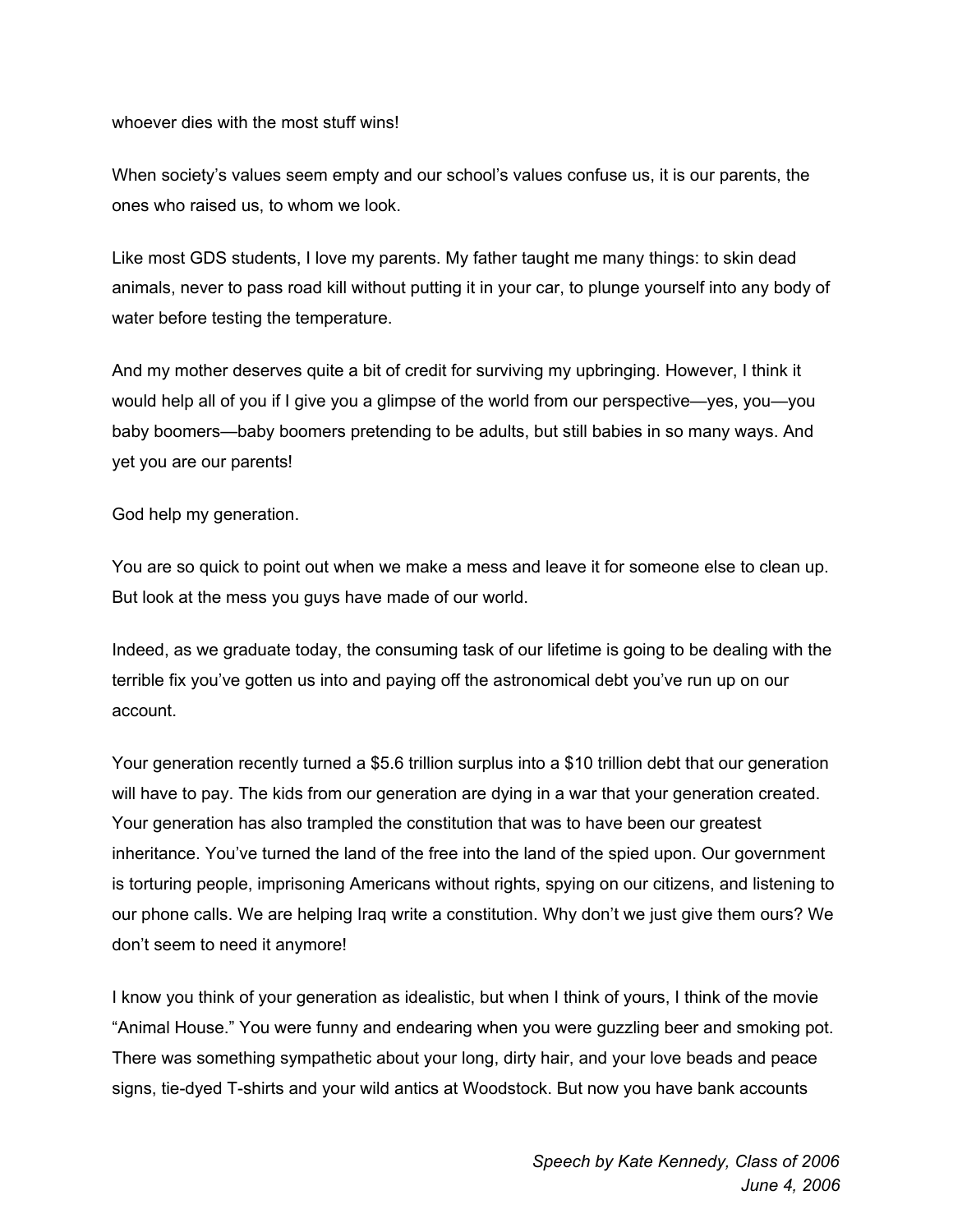whoever dies with the most stuff wins!

When society's values seem empty and our school's values confuse us, it is our parents, the ones who raised us, to whom we look.

Like most GDS students, I love my parents. My father taught me many things: to skin dead animals, never to pass road kill without putting it in your car, to plunge yourself into any body of water before testing the temperature.

And my mother deserves quite a bit of credit for surviving my upbringing. However, I think it would help all of you if I give you a glimpse of the world from our perspective—yes, you—you baby boomers—baby boomers pretending to be adults, but still babies in so many ways. And yet you are our parents!

God help my generation.

You are so quick to point out when we make a mess and leave it for someone else to clean up. But look at the mess you guys have made of our world.

Indeed, as we graduate today, the consuming task of our lifetime is going to be dealing with the terrible fix you've gotten us into and paying off the astronomical debt you've run up on our account.

Your generation recently turned a \$5.6 trillion surplus into a \$10 trillion debt that our generation will have to pay. The kids from our generation are dying in a war that your generation created. Your generation has also trampled the constitution that was to have been our greatest inheritance. You've turned the land of the free into the land of the spied upon. Our government is torturing people, imprisoning Americans without rights, spying on our citizens, and listening to our phone calls. We are helping Iraq write a constitution. Why don't we just give them ours? We don't seem to need it anymore!

I know you think of your generation as idealistic, but when I think of yours, I think of the movie "Animal House." You were funny and endearing when you were guzzling beer and smoking pot. There was something sympathetic about your long, dirty hair, and your love beads and peace signs, tie-dyed T-shirts and your wild antics at Woodstock. But now you have bank accounts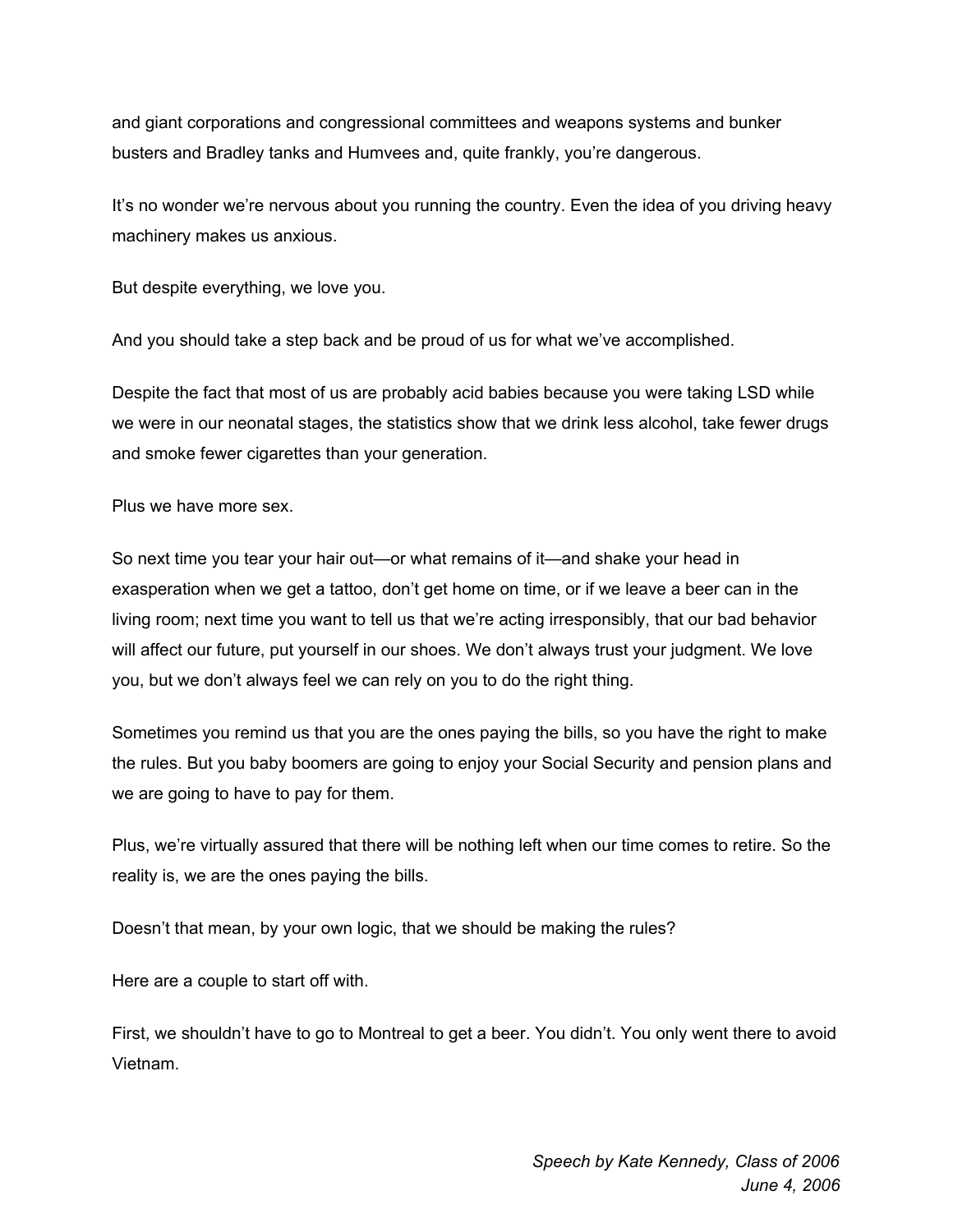and giant corporations and congressional committees and weapons systems and bunker busters and Bradley tanks and Humvees and, quite frankly, you're dangerous.

It's no wonder we're nervous about you running the country. Even the idea of you driving heavy machinery makes us anxious.

But despite everything, we love you.

And you should take a step back and be proud of us for what we've accomplished.

Despite the fact that most of us are probably acid babies because you were taking LSD while we were in our neonatal stages, the statistics show that we drink less alcohol, take fewer drugs and smoke fewer cigarettes than your generation.

Plus we have more sex.

So next time you tear your hair out—or what remains of it—and shake your head in exasperation when we get a tattoo, don't get home on time, or if we leave a beer can in the living room; next time you want to tell us that we're acting irresponsibly, that our bad behavior will affect our future, put yourself in our shoes. We don't always trust your judgment. We love you, but we don't always feel we can rely on you to do the right thing.

Sometimes you remind us that you are the ones paying the bills, so you have the right to make the rules. But you baby boomers are going to enjoy your Social Security and pension plans and we are going to have to pay for them.

Plus, we're virtually assured that there will be nothing left when our time comes to retire. So the reality is, we are the ones paying the bills.

Doesn't that mean, by your own logic, that we should be making the rules?

Here are a couple to start off with.

First, we shouldn't have to go to Montreal to get a beer. You didn't. You only went there to avoid Vietnam.